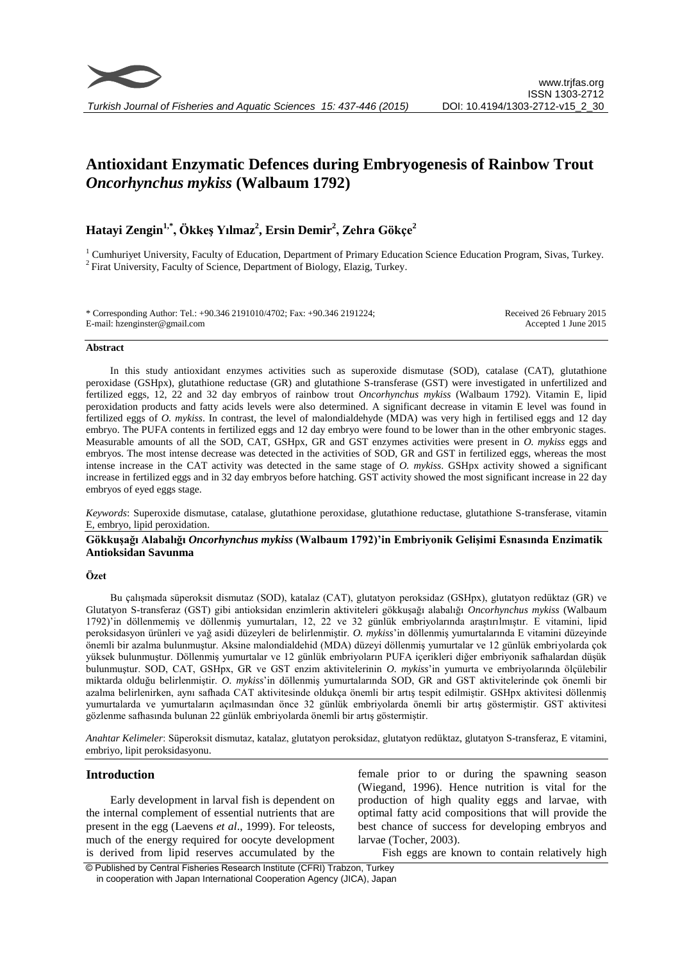

# **Antioxidant Enzymatic Defences during Embryogenesis of Rainbow Trout**  *Oncorhynchus mykiss* **(Walbaum 1792)**

## **Hatayi Zengin1,\* , Ökkeş Yılmaz<sup>2</sup> , Ersin Demir<sup>2</sup> , Zehra Gökçe<sup>2</sup>**

<sup>1</sup> Cumhuriyet University, Faculty of Education, Department of Primary Education Science Education Program, Sivas, Turkey. <sup>2</sup> Firat University, Faculty of Science, Department of Biology, Elazig, Turkey.

\* Corresponding Author: Tel.: +90.346 2191010/4702; Fax: +90.346 2191224; E-mail: hzenginster@gmail.com Received 26 February 2015 Accepted 1 June 2015

#### **Abstract**

In this study antioxidant enzymes activities such as superoxide dismutase (SOD), catalase (CAT), glutathione peroxidase (GSHpx), glutathione reductase (GR) and glutathione S-transferase (GST) were investigated in unfertilized and fertilized eggs, 12, 22 and 32 day embryos of rainbow trout *Oncorhynchus mykiss* (Walbaum 1792). Vitamin E, lipid peroxidation products and fatty acids levels were also determined. A significant decrease in vitamin E level was found in fertilized eggs of *O. mykiss*. In contrast, the level of malondialdehyde (MDA) was very high in fertilised eggs and 12 day embryo. The PUFA contents in fertilized eggs and 12 day embryo were found to be lower than in the other embryonic stages. Measurable amounts of all the SOD, CAT, GSHpx, GR and GST enzymes activities were present in *O. mykiss* eggs and embryos. The most intense decrease was detected in the activities of SOD, GR and GST in fertilized eggs, whereas the most intense increase in the CAT activity was detected in the same stage of *O. mykiss*. GSHpx activity showed a significant increase in fertilized eggs and in 32 day embryos before hatching. GST activity showed the most significant increase in 22 day embryos of eyed eggs stage.

*Keywords*: Superoxide dismutase, catalase, glutathione peroxidase, glutathione reductase, glutathione S-transferase, vitamin E, embryo, lipid peroxidation.

**Gökkuşağı Alabalığı** *Oncorhynchus mykiss* **(Walbaum 1792)'in Embriyonik Gelişimi Esnasında Enzimatik Antioksidan Savunma**

#### **Özet**

Bu çalışmada süperoksit dismutaz (SOD), katalaz (CAT), glutatyon peroksidaz (GSHpx), glutatyon redüktaz (GR) ve Glutatyon S-transferaz (GST) gibi antioksidan enzimlerin aktiviteleri gökkuşağı alabalığı *Oncorhynchus mykiss* (Walbaum 1792)'in döllenmemiş ve döllenmiş yumurtaları, 12, 22 ve 32 günlük embriyolarında araştırılmıştır. E vitamini, lipid peroksidasyon ürünleri ve yağ asidi düzeyleri de belirlenmiştir. *O. mykiss*'in döllenmiş yumurtalarında E vitamini düzeyinde önemli bir azalma bulunmuştur. Aksine malondialdehid (MDA) düzeyi döllenmiş yumurtalar ve 12 günlük embriyolarda çok yüksek bulunmuştur. Döllenmiş yumurtalar ve 12 günlük embriyoların PUFA içerikleri diğer embriyonik safhalardan düşük bulunmuştur. SOD, CAT, GSHpx, GR ve GST enzim aktivitelerinin *O. mykiss*'in yumurta ve embriyolarında ölçülebilir miktarda olduğu belirlenmiştir. *O. mykiss*'in döllenmiş yumurtalarında SOD, GR and GST aktivitelerinde çok önemli bir azalma belirlenirken, aynı safhada CAT aktivitesinde oldukça önemli bir artış tespit edilmiştir. GSHpx aktivitesi döllenmiş yumurtalarda ve yumurtaların açılmasından önce 32 günlük embriyolarda önemli bir artış göstermiştir. GST aktivitesi gözlenme safhasında bulunan 22 günlük embriyolarda önemli bir artış göstermiştir.

*Anahtar Kelimeler*: Süperoksit dismutaz, katalaz, glutatyon peroksidaz, glutatyon redüktaz, glutatyon S-transferaz, E vitamini, embriyo, lipit peroksidasyonu.

## **Introduction**

Early development in larval fish is dependent on the internal complement of essential nutrients that are present in the egg (Laevens *et al*., 1999). For teleosts, much of the energy required for oocyte development is derived from lipid reserves accumulated by the

female prior to or during the spawning season (Wiegand, 1996). Hence nutrition is vital for the production of high quality eggs and larvae, with optimal fatty acid compositions that will provide the best chance of success for developing embryos and larvae (Tocher, 2003).

Fish eggs are known to contain relatively high

© Published by Central Fisheries Research Institute (CFRI) Trabzon, Turkey in cooperation with Japan International Cooperation Agency (JICA), Japan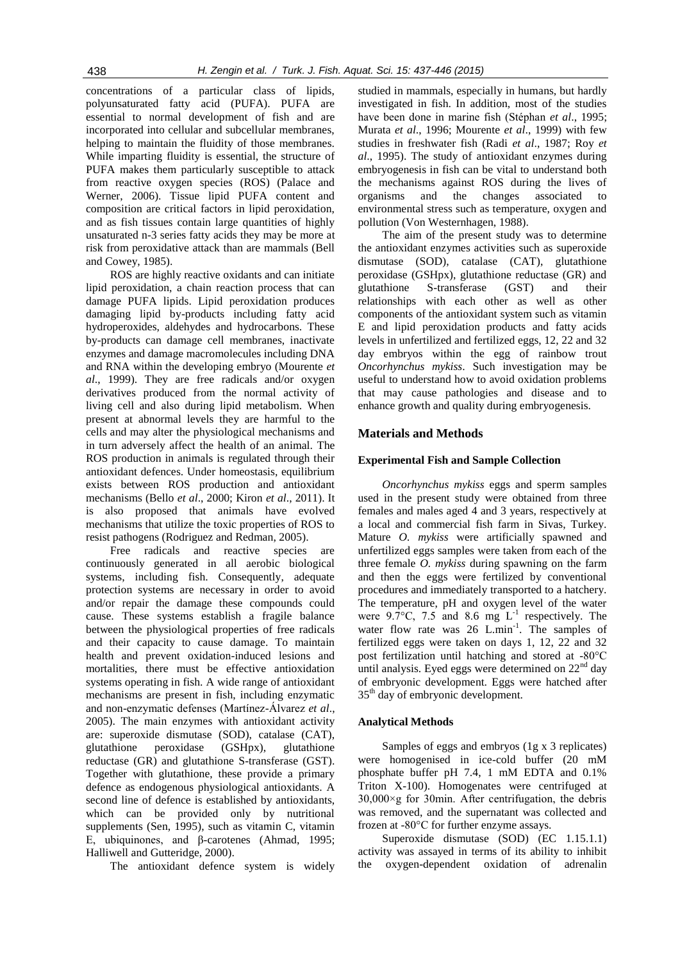concentrations of a particular class of lipids, polyunsaturated fatty acid (PUFA). PUFA are essential to normal development of fish and are incorporated into cellular and subcellular membranes, helping to maintain the fluidity of those membranes. While imparting fluidity is essential, the structure of PUFA makes them particularly susceptible to attack from reactive oxygen species (ROS) (Palace and Werner, 2006). Tissue lipid PUFA content and composition are critical factors in lipid peroxidation, and as fish tissues contain large quantities of highly unsaturated n-3 series fatty acids they may be more at risk from peroxidative attack than are mammals (Bell and Cowey, 1985).

ROS are highly reactive oxidants and can initiate lipid peroxidation, a chain reaction process that can damage PUFA lipids. Lipid peroxidation produces damaging lipid by-products including fatty acid hydroperoxides, aldehydes and hydrocarbons. These by-products can damage cell membranes, inactivate enzymes and damage macromolecules including DNA and RNA within the developing embryo (Mourente *et al*., 1999). They are free radicals and/or oxygen derivatives produced from the normal activity of living cell and also during lipid metabolism. When present at abnormal levels they are harmful to the cells and may alter the physiological mechanisms and in turn adversely affect the health of an animal. The ROS production in animals is regulated through their antioxidant defences. Under homeostasis, equilibrium exists between ROS production and antioxidant mechanisms (Bello *et al*., 2000; Kiron *et al*., 2011). It is also proposed that animals have evolved mechanisms that utilize the toxic properties of ROS to resist pathogens (Rodriguez and Redman, 2005).

Free radicals and reactive species are continuously generated in all aerobic biological systems, including fish. Consequently, adequate protection systems are necessary in order to avoid and/or repair the damage these compounds could cause. These systems establish a fragile balance between the physiological properties of free radicals and their capacity to cause damage. To maintain health and prevent oxidation-induced lesions and mortalities, there must be effective antioxidation systems operating in fish. A wide range of antioxidant mechanisms are present in fish, including enzymatic and non-enzymatic defenses (Martínez-Álvarez *et al*., 2005). The main enzymes with antioxidant activity are: superoxide dismutase (SOD), catalase (CAT), glutathione peroxidase (GSHpx), glutathione reductase (GR) and glutathione S-transferase (GST). Together with glutathione, these provide a primary defence as endogenous physiological antioxidants. A second line of defence is established by antioxidants, which can be provided only by nutritional supplements (Sen, 1995), such as vitamin C, vitamin E, ubiquinones, and β-carotenes (Ahmad, 1995; Halliwell and Gutteridge, 2000).

The antioxidant defence system is widely

studied in mammals, especially in humans, but hardly investigated in fish. In addition, most of the studies have been done in marine fish (Stéphan *et al*., 1995; Murata *et al*., 1996; Mourente *et al*., 1999) with few studies in freshwater fish (Radi *et al*., 1987; Roy *et al*., 1995). The study of antioxidant enzymes during embryogenesis in fish can be vital to understand both the mechanisms against ROS during the lives of organisms and the changes associated to environmental stress such as temperature, oxygen and pollution (Von Westernhagen, 1988).

The aim of the present study was to determine the antioxidant enzymes activities such as superoxide dismutase (SOD), catalase (CAT), glutathione peroxidase (GSHpx), glutathione reductase (GR) and glutathione S-transferase (GST) and their relationships with each other as well as other components of the antioxidant system such as vitamin E and lipid peroxidation products and fatty acids levels in unfertilized and fertilized eggs, 12, 22 and 32 day embryos within the egg of rainbow trout *Oncorhynchus mykiss*. Such investigation may be useful to understand how to avoid oxidation problems that may cause pathologies and disease and to enhance growth and quality during embryogenesis.

## **Materials and Methods**

## **Experimental Fish and Sample Collection**

*Oncorhynchus mykiss* eggs and sperm samples used in the present study were obtained from three females and males aged 4 and 3 years, respectively at a local and commercial fish farm in Sivas, Turkey. Mature *O. mykiss* were artificially spawned and unfertilized eggs samples were taken from each of the three female *O. mykiss* during spawning on the farm and then the eggs were fertilized by conventional procedures and immediately transported to a hatchery. The temperature, pH and oxygen level of the water were  $9.7^{\circ}$ C, 7.5 and 8.6 mg  $L^{-1}$  respectively. The water flow rate was 26 L.min<sup>-1</sup>. The samples of fertilized eggs were taken on days 1, 12, 22 and 32 post fertilization until hatching and stored at -80°C until analysis. Eyed eggs were determined on  $22<sup>nd</sup>$  day of embryonic development. Eggs were hatched after 35<sup>th</sup> day of embryonic development.

#### **Analytical Methods**

Samples of eggs and embryos (1g x 3 replicates) were homogenised in ice-cold buffer (20 mM phosphate buffer pH 7.4, 1 mM EDTA and 0.1% Triton X-100). Homogenates were centrifuged at  $30,000\times g$  for 30min. After centrifugation, the debris was removed, and the supernatant was collected and frozen at -80°C for further enzyme assays.

Superoxide dismutase (SOD) (EC 1.15.1.1) activity was assayed in terms of its ability to inhibit the oxygen-dependent oxidation of adrenalin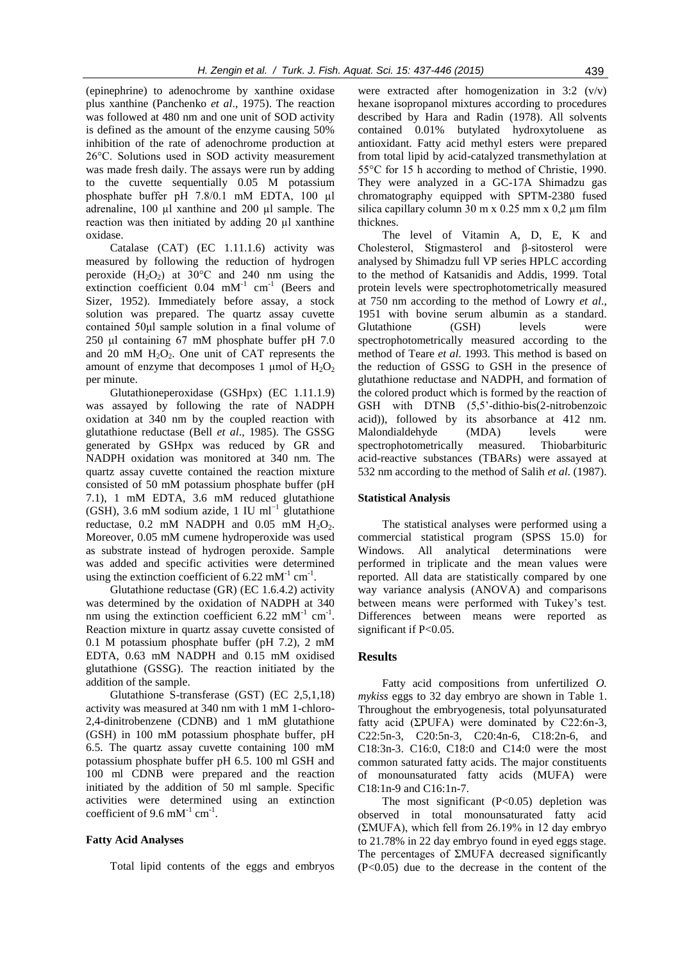(epinephrine) to adenochrome by xanthine oxidase plus xanthine (Panchenko *et al*., 1975). The reaction was followed at 480 nm and one unit of SOD activity is defined as the amount of the enzyme causing 50% inhibition of the rate of adenochrome production at 26°C. Solutions used in SOD activity measurement was made fresh daily. The assays were run by adding to the cuvette sequentially 0.05 M potassium phosphate buffer pH 7.8/0.1 mM EDTA, 100 ul adrenaline, 100 µl xanthine and 200 µl sample. The reaction was then initiated by adding 20 µl xanthine oxidase.

Catalase (CAT) (EC 1.11.1.6) activity was measured by following the reduction of hydrogen peroxide  $(H_2O_2)$  at 30°C and 240 nm using the extinction coefficient  $0.04$  mM<sup>-1</sup> cm<sup>-1</sup> (Beers and Sizer, 1952). Immediately before assay, a stock solution was prepared. The quartz assay cuvette contained 50μl sample solution in a final volume of 250 μl containing 67 mM phosphate buffer pH 7.0 and 20 mM  $H_2O_2$ . One unit of CAT represents the amount of enzyme that decomposes 1  $\mu$ mol of  $H_2O_2$ per minute.

Glutathioneperoxidase (GSHpx) (EC 1.11.1.9) was assayed by following the rate of NADPH oxidation at 340 nm by the coupled reaction with glutathione reductase (Bell *et al*., 1985). The GSSG generated by GSHpx was reduced by GR and NADPH oxidation was monitored at 340 nm. The quartz assay cuvette contained the reaction mixture consisted of 50 mM potassium phosphate buffer (pH 7.1), 1 mM EDTA, 3.6 mM reduced glutathione (GSH), 3.6 mM sodium azide, 1 IU ml<sup>-1</sup> glutathione reductase,  $0.2$  mM NADPH and  $0.05$  mM  $H<sub>2</sub>O<sub>2</sub>$ . Moreover, 0.05 mM cumene hydroperoxide was used as substrate instead of hydrogen peroxide. Sample was added and specific activities were determined using the extinction coefficient of 6.22 mM<sup>-1</sup> cm<sup>-1</sup>.

Glutathione reductase (GR) (EC 1.6.4.2) activity was determined by the oxidation of NADPH at 340 nm using the extinction coefficient  $6.22 \text{ mM}^{-1} \text{ cm}^{-1}$ . Reaction mixture in quartz assay cuvette consisted of 0.1 M potassium phosphate buffer (pH 7.2), 2 mM EDTA, 0.63 mM NADPH and 0.15 mM oxidised glutathione (GSSG). The reaction initiated by the addition of the sample.

Glutathione S-transferase (GST) (EC 2,5,1,18) activity was measured at 340 nm with 1 mM 1-chloro-2,4-dinitrobenzene (CDNB) and 1 mM glutathione (GSH) in 100 mM potassium phosphate buffer, pH 6.5. The quartz assay cuvette containing 100 mM potassium phosphate buffer pH 6.5. 100 ml GSH and 100 ml CDNB were prepared and the reaction initiated by the addition of 50 ml sample. Specific activities were determined using an extinction coefficient of 9.6 mM<sup>-1</sup> cm<sup>-1</sup>.

## **Fatty Acid Analyses**

Total lipid contents of the eggs and embryos

were extracted after homogenization in 3:2 (v/v) hexane isopropanol mixtures according to procedures described by Hara and Radin (1978). All solvents contained 0.01% butylated hydroxytoluene as antioxidant. Fatty acid methyl esters were prepared from total lipid by acid-catalyzed transmethylation at 55°C for 15 h according to method of Christie, 1990. They were analyzed in a GC-17A Shimadzu gas chromatography equipped with SPTM-2380 fused silica capillary column 30 m x  $0.25$  mm x  $0.2 \mu$ m film thicknes.

The level of Vitamin A, D, E, K and Cholesterol, Stigmasterol and β-sitosterol were analysed by Shimadzu full VP series HPLC according to the method of Katsanidis and Addis, 1999. Total protein levels were spectrophotometrically measured at 750 nm according to the method of Lowry *et al*., 1951 with bovine serum albumin as a standard. Glutathione (GSH) levels were spectrophotometrically measured according to the method of Teare *et al*. 1993. This method is based on the reduction of GSSG to GSH in the presence of glutathione reductase and NADPH, and formation of the colored product which is formed by the reaction of GSH with DTNB (5,5'-dithio-bis(2-nitrobenzoic acid)), followed by its absorbance at 412 nm. Malondialdehyde (MDA) levels were spectrophotometrically measured. Thiobarbituric acid-reactive substances (TBARs) were assayed at 532 nm according to the method of Salih *et al*. (1987).

### **Statistical Analysis**

The statistical analyses were performed using a commercial statistical program (SPSS 15.0) for Windows. All analytical determinations were performed in triplicate and the mean values were reported. All data are statistically compared by one way variance analysis (ANOVA) and comparisons between means were performed with Tukey's test. Differences between means were reported as significant if P<0.05.

#### **Results**

Fatty acid compositions from unfertilized *O. mykiss* eggs to 32 day embryo are shown in Table 1. Throughout the embryogenesis, total polyunsaturated fatty acid ( $\Sigma$ PUFA) were dominated by C22:6n-3, C22:5n-3, C20:5n-3, C20:4n-6, C18:2n-6, and C18:3n-3. C16:0, C18:0 and C14:0 were the most common saturated fatty acids. The major constituents of monounsaturated fatty acids (MUFA) were C18:1n-9 and C16:1n-7.

The most significant  $(P<0.05)$  depletion was observed in total monounsaturated fatty acid (ΣMUFA), which fell from 26.19% in 12 day embryo to 21.78% in 22 day embryo found in eyed eggs stage. The percentages of ΣMUFA decreased significantly (P<0.05) due to the decrease in the content of the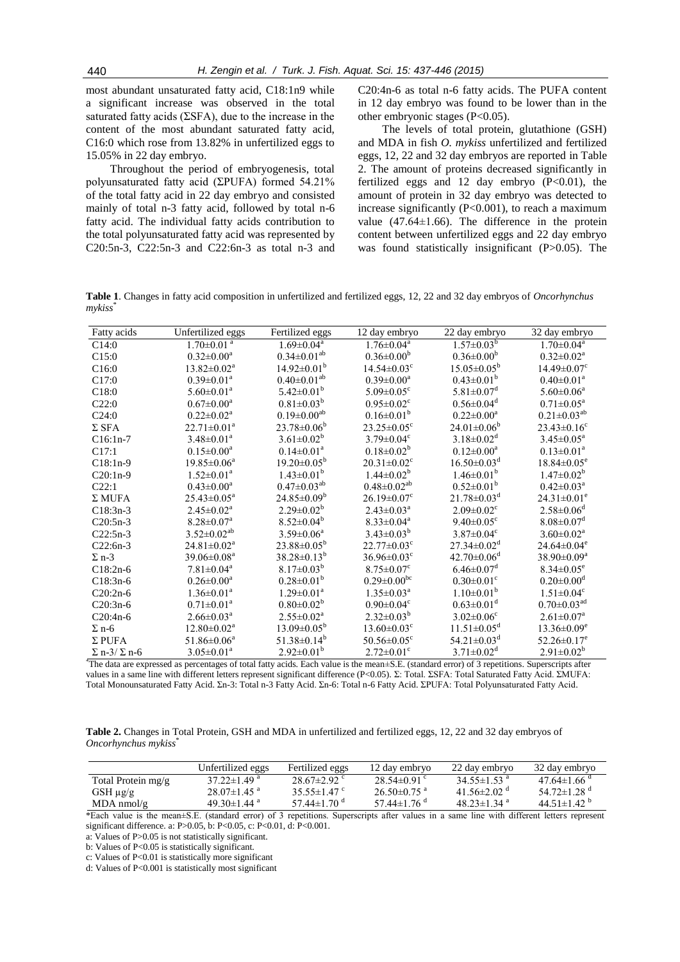most abundant unsaturated fatty acid, C18:1n9 while a significant increase was observed in the total saturated fatty acids (ΣSFA), due to the increase in the content of the most abundant saturated fatty acid, C16:0 which rose from 13.82% in unfertilized eggs to 15.05% in 22 day embryo.

Throughout the period of embryogenesis, total polyunsaturated fatty acid (ΣPUFA) formed 54.21% of the total fatty acid in 22 day embryo and consisted mainly of total n-3 fatty acid, followed by total n-6 fatty acid. The individual fatty acids contribution to the total polyunsaturated fatty acid was represented by C20:5n-3, C22:5n-3 and C22:6n-3 as total n-3 and

C20:4n-6 as total n-6 fatty acids. The PUFA content in 12 day embryo was found to be lower than in the other embryonic stages (P<0.05).

The levels of total protein, glutathione (GSH) and MDA in fish *O. mykiss* unfertilized and fertilized eggs, 12, 22 and 32 day embryos are reported in Table 2. The amount of proteins decreased significantly in fertilized eggs and 12 day embryo  $(P<0.01)$ , the amount of protein in 32 day embryo was detected to increase significantly (P<0.001), to reach a maximum value (47.64±1.66). The difference in the protein content between unfertilized eggs and 22 day embryo was found statistically insignificant (P>0.05). The

**Table 1**. Changes in fatty acid composition in unfertilized and fertilized eggs, 12, 22 and 32 day embryos of *Oncorhynchus mykiss*\*

| Fatty acids                          | Unfertilized eggs             | Fertilized eggs                                   | 12 day embryo                 | 22 day embryo                                                                                  | 32 day embryo                 |
|--------------------------------------|-------------------------------|---------------------------------------------------|-------------------------------|------------------------------------------------------------------------------------------------|-------------------------------|
| C14:0                                | $1.70 \pm 0.01$ <sup>a</sup>  | $1.69 \pm 0.04$ <sup>a</sup>                      | $1.76 \pm 0.04^a$             | $1.57 \pm 0.03^b$                                                                              | $1.70 \pm 0.04^a$             |
| C15:0                                | $0.32 \pm 0.00^a$             | $0.34 \pm 0.01^{ab}$                              | $0.36 \pm 0.00^b$             | $0.36 \pm 0.00^b$                                                                              | $0.32 \pm 0.02^{\text{a}}$    |
| C16:0                                | $13.82 \pm 0.02^a$            | $14.92 \pm 0.01^{\mathrm{b}}$                     | $14.54 \pm 0.03$ <sup>c</sup> | $15.05 \pm 0.05^{\circ}$                                                                       | $14.49 \pm 0.07$ <sup>c</sup> |
| C17:0                                | $0.39 \pm 0.01^a$             | $0.40 \pm 0.01^{ab}$                              | $0.39 \pm 0.00^a$             | $0.43 \pm 0.01^b$                                                                              | $0.40 \pm 0.01^a$             |
| C18:0                                | $5.60 \pm 0.01^{\text{a}}$    | $5.42 \pm 0.01^b$                                 | 5.09 $\pm$ 0.05 <sup>c</sup>  | $5.81 \pm 0.07$ <sup>d</sup>                                                                   | $5.60 \pm 0.06^a$             |
| C22:0                                | $0.67 \pm 0.00^a$             | $0.81 \pm 0.03^b$                                 | $0.95 \pm 0.02$ <sup>c</sup>  | $0.56 \pm 0.04$ <sup>d</sup>                                                                   | $0.71 \pm 0.05^a$             |
| C24:0                                | $0.22 \pm 0.02^a$             | $0.19 \pm 0.00^{ab}$                              | $0.16 \pm 0.01^b$             | $0.22 \pm 0.00^a$                                                                              | $0.21 \pm 0.03^{ab}$          |
| $\Sigma$ SFA                         | $22.71 \pm 0.01^a$            | $23.78 \pm 0.06^b$                                | $23.25 \pm 0.05^{\circ}$      | $24.01 \pm 0.06^b$                                                                             | $23.43 \pm 0.16$ <sup>c</sup> |
| $C16:1n-7$                           | $3.48 \pm 0.01^a$             | $3.61 \pm 0.02^b$                                 | $3.79 \pm 0.04$ <sup>c</sup>  | $3.18 \pm 0.02$ <sup>d</sup>                                                                   | $3.45 \pm 0.05^a$             |
| C17:1                                | $0.15 \pm 0.00^a$             | $0.14 \pm 0.01^a$                                 | $0.18 \pm 0.02^b$             | $0.12 \pm 0.00^a$                                                                              | $0.13 \pm 0.01^a$             |
| $C18:1n-9$                           | $19.85 \pm 0.06^a$            | $19.20 \pm 0.05^b$                                | $20.31 \pm 0.02$ <sup>c</sup> | $16.50\pm0.03^{\rm d}$                                                                         | $18.84 \pm 0.05^e$            |
| $C20:1n-9$                           | $1.52 \pm 0.01^a$             | $1.43 \pm 0.01^b$                                 | $1.44 \pm 0.02^b$             | $1.46 \pm 0.01^b$                                                                              | $1.47 \pm 0.02^b$             |
| C22:1                                | $0.43 \pm 0.00^a$             | $0.47 \pm 0.03^{ab}$                              | $0.48 \pm 0.02^{ab}$          | $0.52 \pm 0.01^b$                                                                              | $0.42 \pm 0.03^{\text{a}}$    |
| $\Sigma$ MUFA                        | $25.43 \pm 0.05^a$            | $24.85 \pm 0.09^b$                                | $26.19 \pm 0.07$ <sup>c</sup> | $21.78 \pm 0.03$ <sup>d</sup>                                                                  | $24.31 \pm 0.01^e$            |
| $C18:3n-3$                           | $2.45 \pm 0.02^{\text{a}}$    | $2.29 \pm 0.02^b$                                 | $2.43 \pm 0.03^{\text{a}}$    | $2.09 \pm 0.02$ <sup>c</sup>                                                                   | $2.58 \pm 0.06$ <sup>d</sup>  |
| $C20:5n-3$                           | $8.28 \pm 0.07$ <sup>a</sup>  | $8.52 \pm 0.04^b$                                 | $8.33 \pm 0.04$ <sup>a</sup>  | $9.40 \pm 0.05$ <sup>c</sup>                                                                   | $8.08 \pm 0.07$ <sup>d</sup>  |
| $C22:5n-3$                           | $3.52 \pm 0.02^{ab}$          | $3.59 \pm 0.06^a$                                 | $3.43 \pm 0.03^b$             | $3.87 \pm 0.04$ <sup>c</sup>                                                                   | $3.60 \pm 0.02^{\text{a}}$    |
| $C22:6n-3$                           | $24.81 \pm 0.02^{\text{a}}$   | $23.88 \pm 0.05^b$                                | $22.77 \pm 0.03$ <sup>c</sup> | $27.34 \pm 0.02$ <sup>d</sup>                                                                  | $24.64\pm0.04^e$              |
| $\Sigma$ n-3                         | $39.06 \pm 0.08$ <sup>a</sup> | $38.28 \pm 0.13^b$                                | $36.96 \pm 0.03$ <sup>c</sup> | $42.70 \pm 0.06$ <sup>d</sup>                                                                  | $38.90 \pm 0.09^a$            |
| $C18:2n-6$                           | $7.81 \pm 0.04$ <sup>a</sup>  | $8.17 \pm 0.03^b$                                 | $8.75 \pm 0.07$ <sup>c</sup>  | $6.46 \pm 0.07$ <sup>d</sup>                                                                   | $8.34 \pm 0.05^e$             |
| $C18:3n-6$                           | $0.26 \pm 0.00^a$             | $0.28 \pm 0.01^b$                                 | $0.29 \pm 0.00^{\rm bc}$      | $0.30 \pm 0.01$ <sup>c</sup>                                                                   | $0.20 \pm 0.00$ <sup>d</sup>  |
| $C20:2n-6$                           | $1.36 \pm 0.01^a$             | $1.29 \pm 0.01^a$                                 | $1.35 \pm 0.03^{\text{a}}$    | $1.10\pm0.01^b$                                                                                | $1.51 \pm 0.04$ <sup>c</sup>  |
| $C20:3n-6$                           | $0.71 \pm 0.01^a$             | $0.80 \pm 0.02^b$                                 | $0.90 \pm 0.04$ <sup>c</sup>  | $0.63 \pm 0.01$ <sup>d</sup>                                                                   | $0.70 \pm 0.03$ <sup>ad</sup> |
| $C20:4n-6$                           | $2.66 \pm 0.03^{\text{a}}$    | $2.55 \pm 0.02^a$                                 | $2.32 \pm 0.03^b$             | $3.02 \pm 0.06$ <sup>c</sup>                                                                   | $2.61 \pm 0.07$ <sup>a</sup>  |
| $\Sigma$ n-6                         | $12.80 \pm 0.02^{\text{a}}$   | $13.09 \pm 0.05^b$                                | $13.60 \pm 0.03$ <sup>c</sup> | $11.51 \pm 0.05^{\text{d}}$                                                                    | $13.36 \pm 0.09^e$            |
| $\Sigma$ PUFA                        | $51.86 \pm 0.06^a$            | $51.38 \pm 0.14^b$                                | $50.56 \pm 0.05$ <sup>c</sup> | $54.21 \pm 0.03$ <sup>d</sup>                                                                  | $52.26 \pm 0.17$ <sup>e</sup> |
| $\Sigma$ n-3/ $\Sigma$ n-6<br>"лл 1. | $3.05 \pm 0.01^a$             | $2.92 \pm 0.01^b$<br>$\sim$ 1.0 $\sim$<br>11.71.1 | $2.72 \pm 0.01$ <sup>c</sup>  | $3.71 \pm 0.02^d$<br>$\mathbf{1} \cap \mathbf{1} \neq \mathbf{1}$ $\mathbf{1} \neq \mathbf{1}$ | $2.91 \pm 0.02^b$             |

\*The data are expressed as percentages of total fatty acids. Each value is the mean*±*S.E. (standard error) of 3 repetitions. Superscripts after values in a same line with different letters represent significant difference (P<0.05). Σ: Total. ΣSFA: Total Saturated Fatty Acid. ΣMUFA: Total Monounsaturated Fatty Acid. Σn-3: Total n-3 Fatty Acid. Σn-6: Total n-6 Fatty Acid. ΣPUFA: Total Polyunsaturated Fatty Acid.

**Table 2.** Changes in Total Protein, GSH and MDA in unfertilized and fertilized eggs, 12, 22 and 32 day embryos of *Oncorhynchus mykiss*\*

|                    | Unfertilized eggs             | Fertilized eggs             | 12 dav embrvo               | 22 day embryo                 | 32 day embryo                 |
|--------------------|-------------------------------|-----------------------------|-----------------------------|-------------------------------|-------------------------------|
| Total Protein mg/g | $37.22 \pm 1.49$ <sup>a</sup> | $28.67\pm2.92$ °            | 28.54 $\pm$ 0.91 $\degree$  | 34.55 $\pm$ 1.53 <sup>a</sup> | 47.64 $\pm$ 1.66 $a$          |
| $GSH \mu g/g$      | $28.07 \pm 1.45$ <sup>a</sup> | 35.55 $\pm$ 1.47 $\degree$  | $26.50\pm0.75$ <sup>a</sup> | 41.56 $\pm$ 2.02 <sup>d</sup> | 54.72 $\pm$ 1.28 $^{\circ}$   |
| $MDA$ nmol/g       | 49.30 $\pm$ 1.44 <sup>a</sup> | 57.44 $\pm$ 1.70 $^{\circ}$ | 57.44 $\pm$ 1.76 $a$        | $48.23 \pm 1.34$ <sup>a</sup> | 44.51 $\pm$ 1.42 <sup>b</sup> |

\*Each value is the mean±S.E. (standard error) of 3 repetitions. Superscripts after values in a same line with different letters represent significant difference. a: P>0.05, b: P<0.05, c: P<0.01, d: P<0.001.

a: Values of P>0.05 is not statistically significant.

b: Values of P<0.05 is statistically significant.

c: Values of P<0.01 is statistically more significant

d: Values of P<0.001 is statistically most significant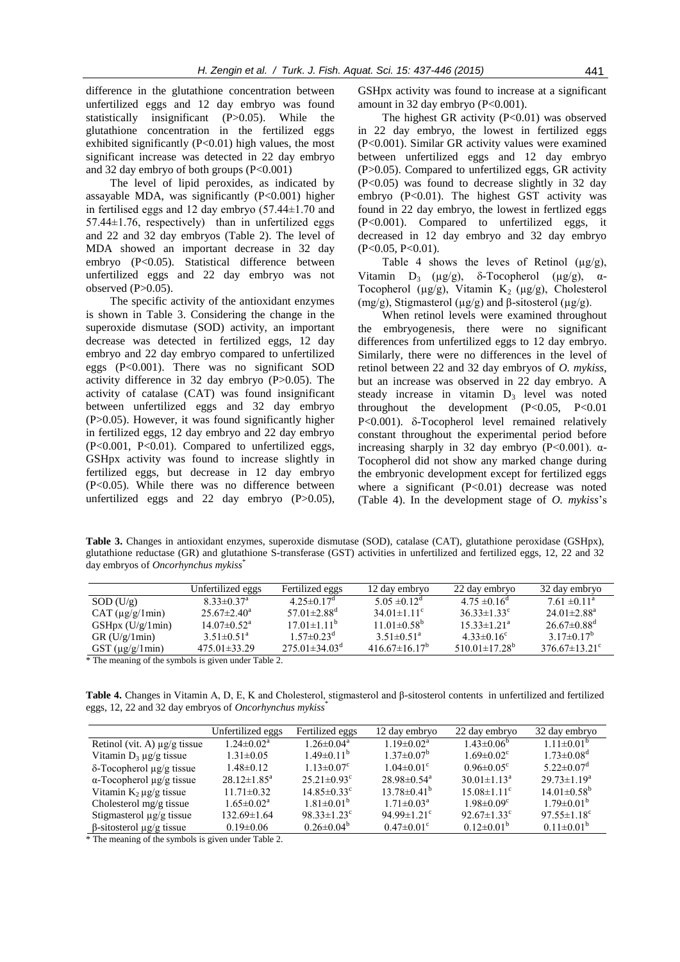difference in the glutathione concentration between unfertilized eggs and 12 day embryo was found statistically insignificant (P>0.05). While the glutathione concentration in the fertilized eggs exhibited significantly (P<0.01) high values, the most significant increase was detected in 22 day embryo and 32 day embryo of both groups  $(P<0.001)$ 

The level of lipid peroxides, as indicated by assayable MDA, was significantly (P<0.001) higher in fertilised eggs and 12 day embryo (57.44±1.70 and 57.44±1.76, respectively) than in unfertilized eggs and 22 and 32 day embryos (Table 2). The level of MDA showed an important decrease in 32 day embryo (P<0.05). Statistical difference between unfertilized eggs and 22 day embryo was not observed  $(P>0.05)$ .

The specific activity of the antioxidant enzymes is shown in Table 3. Considering the change in the superoxide dismutase (SOD) activity, an important decrease was detected in fertilized eggs, 12 day embryo and 22 day embryo compared to unfertilized eggs (P<0.001). There was no significant SOD activity difference in 32 day embryo (P>0.05). The activity of catalase (CAT) was found insignificant between unfertilized eggs and 32 day embryo (P>0.05). However, it was found significantly higher in fertilized eggs, 12 day embryo and 22 day embryo (P<0.001, P<0.01). Compared to unfertilized eggs, GSHpx activity was found to increase slightly in fertilized eggs, but decrease in 12 day embryo (P<0.05). While there was no difference between unfertilized eggs and 22 day embryo  $(P>0.05)$ , GSHpx activity was found to increase at a significant amount in 32 day embryo (P<0.001).

The highest GR activity (P<0.01) was observed in 22 day embryo, the lowest in fertilized eggs (P<0.001). Similar GR activity values were examined between unfertilized eggs and 12 day embryo (P>0.05). Compared to unfertilized eggs, GR activity (P<0.05) was found to decrease slightly in 32 day embryo (P<0.01). The highest GST activity was found in 22 day embryo, the lowest in fertlized eggs (P<0.001). Compared to unfertilized eggs, it decreased in 12 day embryo and 32 day embryo (P<0.05, P<0.01).

Table 4 shows the leves of Retinol  $(\mu g/g)$ , Vitamin  $D_3$  ( $\mu$ g/g),  $\delta$ -Tocopherol ( $\mu$ g/g),  $\alpha$ -Tocopherol ( $\mu$ g/g), Vitamin K<sub>2</sub> ( $\mu$ g/g), Cholesterol (mg/g), Stigmasterol ( $\mu$ g/g) and β-sitosterol ( $\mu$ g/g).

When retinol levels were examined throughout the embryogenesis, there were no significant differences from unfertilized eggs to 12 day embryo. Similarly, there were no differences in the level of retinol between 22 and 32 day embryos of *O. mykiss*, but an increase was observed in 22 day embryo. A steady increase in vitamin  $D_3$  level was noted throughout the development  $(P<0.05, P<0.01$  $P<0.001$ ).  $\delta$ -Tocopherol level remained relatively constant throughout the experimental period before increasing sharply in 32 day embryo  $(P<0.001)$ .  $\alpha$ -Tocopherol did not show any marked change during the embryonic development except for fertilized eggs where a significant  $(P<0.01)$  decrease was noted (Table 4). In the development stage of *O. mykiss*'s

**Table 3.** Changes in antioxidant enzymes, superoxide dismutase (SOD), catalase (CAT), glutathione peroxidase (GSHpx), glutathione reductase (GR) and glutathione S-transferase (GST) activities in unfertilized and fertilized eggs, 12, 22 and 32 day embryos of *Oncorhynchus mykiss*\*

|                          | Unfertilized eggs             | Fertilized eggs                 | 12 day embryo                   | 22 day embryo                   | 32 day embryo                   |
|--------------------------|-------------------------------|---------------------------------|---------------------------------|---------------------------------|---------------------------------|
| SOD (U/g)                | $8.33 \pm 0.37$ <sup>a</sup>  | $4.25 \pm 0.17$ <sup>d</sup>    | $5.05 \pm 0.12^{\circ}$         | $4.75 \pm 0.16^{\circ}$         | $7.61 \pm 0.11$ <sup>a</sup>    |
| $CAT (\mu g/g/1min)$     | $25.67 \pm 2.40^{\circ}$      | 57.01 $\pm$ 2.88 <sup>d</sup>   | 34 01 $\pm$ 1 11 <sup>c</sup>   | $36.33 \pm 1.33$ <sup>c</sup>   | 24 01 ± 2.88 <sup>a</sup>       |
| $GSHpx$ (U/g/1min)       | $14.07 \pm 0.52$ <sup>a</sup> | $17.01 \pm 1.11^b$              | $11.01\pm0.58^{b}$              | $15.33 \pm 1.21^{\circ}$        | $26.67\pm0.88$ <sup>d</sup>     |
| GR(U/g/1min)             | $3.51 \pm 0.51^a$             | $1.57 \pm 0.23$ <sup>d</sup>    | $3.51 \pm 0.51^a$               | $4.33 \pm 0.16^{\circ}$         | 3 17 $\pm$ 0 17 <sup>b</sup>    |
| $\text{GST}$ (µg/g/1min) | $475.01\pm33.29$              | $275.01 \pm 34.03$ <sup>d</sup> | 416 67 $\pm$ 16 17 <sup>b</sup> | 510.01 $\pm$ 17.28 <sup>b</sup> | 376 67 $\pm$ 13 21 <sup>c</sup> |

\* The meaning of the symbols is given under Table 2.

**Table 4.** Changes in Vitamin A, D, E, K and Cholesterol, stigmasterol and β-sitosterol contents in unfertilized and fertilized eggs, 12, 22 and 32 day embryos of *Oncorhynchus mykiss*\*

|                                       | Unfertilized eggs          | Fertilized eggs               | 12 day embryo                 | 22 day embryo                 | 32 day embryo                 |
|---------------------------------------|----------------------------|-------------------------------|-------------------------------|-------------------------------|-------------------------------|
| Retinol (vit. A) $\mu$ g/g tissue     | $1.24 \pm 0.02^a$          | $1.26 \pm 0.04^a$             | $1.19 \pm 0.02^a$             | $1.43\pm0.06^{\circ}$         | $1.11 \pm 0.01^b$             |
| Vitamin $D_3 \mu g/g$ tissue          | $1.31 \pm 0.05$            | $1.49 \pm 0.11^b$             | $1.37 \pm 0.07^b$             | $1.69 \pm 0.02$ <sup>c</sup>  | $1.73 \pm 0.08$ <sup>d</sup>  |
| $\delta$ -Tocopherol $\mu$ g/g tissue | $1.48 \pm 0.12$            | $1.13 \pm 0.07$ <sup>c</sup>  | $1.04 \pm 0.01$ <sup>c</sup>  | $0.96 \pm 0.05$ <sup>c</sup>  | $5.22 \pm 0.07$ <sup>d</sup>  |
| $\alpha$ -Tocopherol $\mu$ g/g tissue | $28.12 \pm 1.85^a$         | $25.21 \pm 0.93$ <sup>c</sup> | $28.98 \pm 0.54$ <sup>a</sup> | $30.01 \pm 1.13^a$            | $29.73 \pm 1.19^a$            |
| Vitamin $K_2 \mu g/g$ tissue          | $11.71 \pm 0.32$           | $14.85 \pm 0.33$ <sup>c</sup> | $13.78 \pm 0.41^{\circ}$      | $15.08 \pm 1.11$ <sup>c</sup> | $14.01\pm0.58^{b}$            |
| Cholesterol $mg/g$ tissue             | $1.65 \pm 0.02^{\text{a}}$ | $1.81 \pm 0.01^b$             | $1.71 \pm 0.03^{\text{a}}$    | $1.98 \pm 0.09$ <sup>c</sup>  | $1.79 \pm 0.01^{\mathrm{b}}$  |
| Stigmasterol $\mu$ g/g tissue         | $132.69 \pm 1.64$          | $98.33 \pm 1.23$ <sup>c</sup> | 94.99 $\pm$ 1.21 <sup>c</sup> | $92.67 \pm 1.33$ <sup>c</sup> | $97.55 \pm 1.18$ <sup>c</sup> |
| $\beta$ -sitosterol $\mu$ g/g tissue  | $0.19 \pm 0.06$            | $0.26 \pm 0.04^{\circ}$       | $0.47 \pm 0.01$ <sup>c</sup>  | $0.12\pm0.01^b$               | $0.11 \pm 0.01^b$             |

\* The meaning of the symbols is given under Table 2.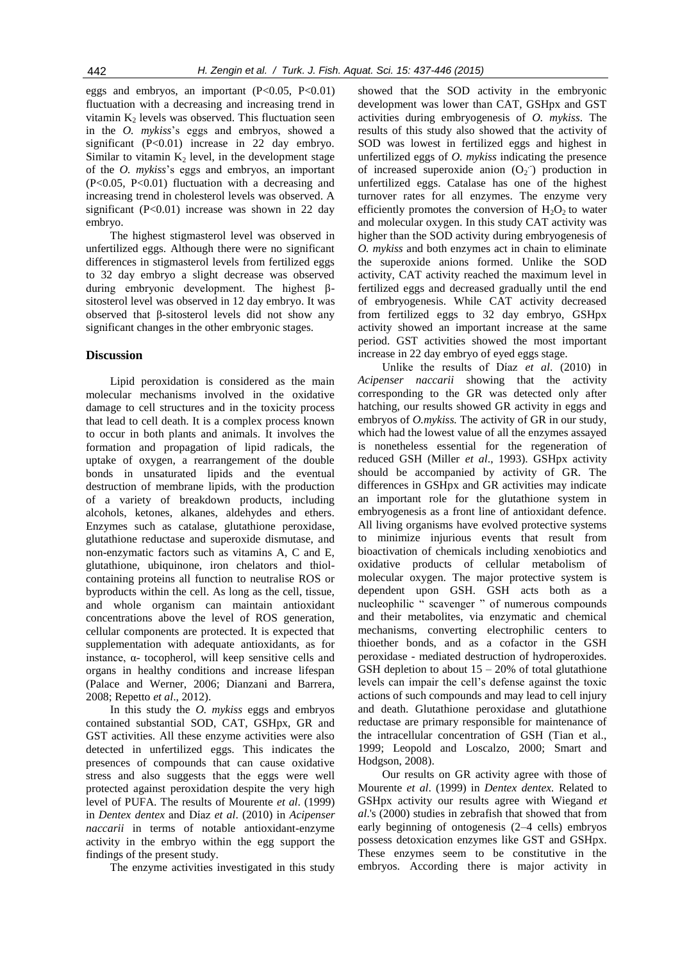eggs and embryos, an important  $(P<0.05, P<0.01)$ fluctuation with a decreasing and increasing trend in vitamin  $K_2$  levels was observed. This fluctuation seen in the *O. mykiss*'s eggs and embryos, showed a significant (P<0.01) increase in 22 day embryo. Similar to vitamin  $K<sub>2</sub>$  level, in the development stage of the *O. mykiss*'s eggs and embryos, an important  $(P<0.05, P<0.01)$  fluctuation with a decreasing and increasing trend in cholesterol levels was observed. A significant  $(P<0.01)$  increase was shown in 22 day embryo.

The highest stigmasterol level was observed in unfertilized eggs. Although there were no significant differences in stigmasterol levels from fertilized eggs to 32 day embryo a slight decrease was observed during embryonic development. The highest βsitosterol level was observed in 12 day embryo. It was observed that β-sitosterol levels did not show any significant changes in the other embryonic stages.

## **Discussion**

Lipid peroxidation is considered as the main molecular mechanisms involved in the oxidative damage to cell structures and in the toxicity process that lead to cell death. It is a complex process known to occur in both plants and animals. It involves the formation and propagation of lipid radicals, the uptake of oxygen, a rearrangement of the double bonds in unsaturated lipids and the eventual destruction of membrane lipids, with the production of a variety of breakdown products, including alcohols, ketones, alkanes, aldehydes and ethers. Enzymes such as catalase, glutathione peroxidase, glutathione reductase and superoxide dismutase, and non-enzymatic factors such as vitamins A, C and E, glutathione, ubiquinone, iron chelators and thiolcontaining proteins all function to neutralise ROS or byproducts within the cell. As long as the cell, tissue, and whole organism can maintain antioxidant concentrations above the level of ROS generation, cellular components are protected. It is expected that supplementation with adequate antioxidants, as for instance,  $α$ - tocopherol, will keep sensitive cells and organs in healthy conditions and increase lifespan (Palace and Werner, 2006; Dianzani and Barrera, 2008; Repetto *et al*., 2012).

In this study the *O. mykiss* eggs and embryos contained substantial SOD, CAT, GSHpx, GR and GST activities. All these enzyme activities were also detected in unfertilized eggs. This indicates the presences of compounds that can cause oxidative stress and also suggests that the eggs were well protected against peroxidation despite the very high level of PUFA. The results of Mourente *et al*. (1999) in *Dentex dentex* and Díaz *et al*. (2010) in *Acipenser naccarii* in terms of notable antioxidant-enzyme activity in the embryo within the egg support the findings of the present study.

The enzyme activities investigated in this study

showed that the SOD activity in the embryonic development was lower than CAT, GSHpx and GST activities during embryogenesis of *O. mykiss*. The results of this study also showed that the activity of SOD was lowest in fertilized eggs and highest in unfertilized eggs of *O. mykiss* indicating the presence of increased superoxide anion  $(O_2$ ) production in unfertilized eggs. Catalase has one of the highest turnover rates for all enzymes. The enzyme very efficiently promotes the conversion of  $H_2O_2$  to water and molecular oxygen. In this study CAT activity was higher than the SOD activity during embryogenesis of *O. mykiss* and both enzymes act in chain to eliminate the superoxide anions formed. Unlike the SOD activity, CAT activity reached the maximum level in fertilized eggs and decreased gradually until the end of embryogenesis. While CAT activity decreased from fertilized eggs to 32 day embryo, GSHpx activity showed an important increase at the same period. GST activities showed the most important increase in 22 day embryo of eyed eggs stage.

Unlike the results of Díaz *et al*. (2010) in *Acipenser naccarii* showing that the activity corresponding to the GR was detected only after hatching, our results showed GR activity in eggs and embryos of *O.mykiss.* The activity of GR in our study, which had the lowest value of all the enzymes assayed is nonetheless essential for the regeneration of reduced GSH (Miller *et al*., 1993). GSHpx activity should be accompanied by activity of GR. The differences in GSHpx and GR activities may indicate an important role for the glutathione system in embryogenesis as a front line of antioxidant defence. All living organisms have evolved protective systems to minimize injurious events that result from bioactivation of chemicals including xenobiotics and oxidative products of cellular metabolism of molecular oxygen. The major protective system is dependent upon GSH. GSH acts both as a nucleophilic " scavenger " of numerous compounds and their metabolites, via enzymatic and chemical mechanisms, converting electrophilic centers to thioether bonds, and as a cofactor in the GSH peroxidase - mediated destruction of hydroperoxides. GSH depletion to about  $15 - 20\%$  of total glutathione levels can impair the cell's defense against the toxic actions of such compounds and may lead to cell injury and death. Glutathione peroxidase and glutathione reductase are primary responsible for maintenance of the intracellular concentration of GSH (Tian et al., 1999; Leopold and Loscalzo, 2000; Smart and Hodgson, 2008).

Our results on GR activity agree with those of Mourente *et al*. (1999) in *Dentex dentex.* Related to GSHpx activity our results agree with Wiegand *et al*.'s (2000) studies in zebrafish that showed that from early beginning of ontogenesis (2–4 cells) embryos possess detoxication enzymes like GST and GSHpx. These enzymes seem to be constitutive in the embryos. According there is major activity in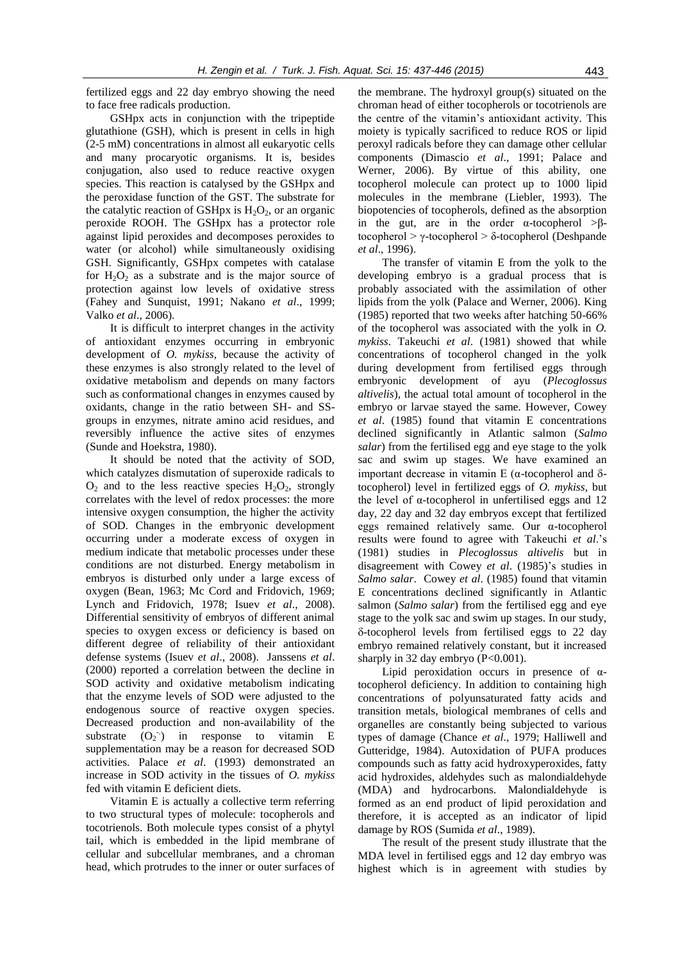fertilized eggs and 22 day embryo showing the need to face free radicals production.

GSHpx acts in conjunction with the tripeptide glutathione (GSH), which is present in cells in high (2-5 mM) concentrations in almost all eukaryotic cells and many procaryotic organisms. It is, besides conjugation, also used to reduce reactive oxygen species. This reaction is catalysed by the GSHpx and the peroxidase function of the GST. The substrate for the catalytic reaction of GSHpx is  $H_2O_2$ , or an organic peroxide ROOH. The GSHpx has a protector role against lipid peroxides and decomposes peroxides to water (or alcohol) while simultaneously oxidising GSH. Significantly, GSHpx competes with catalase for  $H_2O_2$  as a substrate and is the major source of protection against low levels of oxidative stress (Fahey and Sunquist, 1991; Nakano *et al*., 1999; Valko *et al*., 2006).

It is difficult to interpret changes in the activity of antioxidant enzymes occurring in embryonic development of *O. mykiss*, because the activity of these enzymes is also strongly related to the level of oxidative metabolism and depends on many factors such as conformational changes in enzymes caused by oxidants, change in the ratio between SH- and SSgroups in enzymes, nitrate amino acid residues, and reversibly influence the active sites of enzymes (Sunde and Hoekstra, 1980).

It should be noted that the activity of SOD, which catalyzes dismutation of superoxide radicals to  $O_2$  and to the less reactive species  $H_2O_2$ , strongly correlates with the level of redox processes: the more intensive oxygen consumption, the higher the activity of SOD. Changes in the embryonic development occurring under a moderate excess of oxygen in medium indicate that metabolic processes under these conditions are not disturbed. Energy metabolism in embryos is disturbed only under a large excess of oxygen (Bean, 1963; Mc Cord and Fridovich, 1969; Lynch and Fridovich, 1978; Isuev *et al*., 2008). Differential sensitivity of embryos of different animal species to oxygen excess or deficiency is based on different degree of reliability of their antioxidant defense systems (Isuev *et al*., 2008). Janssens *et al*. (2000) reported a correlation between the decline in SOD activity and oxidative metabolism indicating that the enzyme levels of SOD were adjusted to the endogenous source of reactive oxygen species. Decreased production and non-availability of the substrate  $(O_2$ <sup>+</sup>) in response to vitamin E supplementation may be a reason for decreased SOD activities. Palace *et al*. (1993) demonstrated an increase in SOD activity in the tissues of *O. mykiss* fed with vitamin E deficient diets.

Vitamin E is actually a collective term referring to two structural types of molecule: tocopherols and tocotrienols. Both molecule types consist of a phytyl tail, which is embedded in the lipid membrane of cellular and subcellular membranes, and a chroman head, which protrudes to the inner or outer surfaces of

the membrane. The hydroxyl group(s) situated on the chroman head of either tocopherols or tocotrienols are the centre of the vitamin's antioxidant activity. This moiety is typically sacrificed to reduce ROS or lipid peroxyl radicals before they can damage other cellular components (Dimascio *et al*., 1991; Palace and Werner, 2006). By virtue of this ability, one tocopherol molecule can protect up to 1000 lipid molecules in the membrane (Liebler, 1993). The biopotencies of tocopherols, defined as the absorption in the gut, are in the order  $\alpha$ -tocopherol >βtocopherol > γ-tocopherol > δ-tocopherol (Deshpande *et al*., 1996).

The transfer of vitamin E from the yolk to the developing embryo is a gradual process that is probably associated with the assimilation of other lipids from the yolk (Palace and Werner, 2006). King (1985) reported that two weeks after hatching 50-66% of the tocopherol was associated with the yolk in *O. mykiss*. Takeuchi *et al*. (1981) showed that while concentrations of tocopherol changed in the yolk during development from fertilised eggs through embryonic development of ayu (*Plecoglossus altivelis*), the actual total amount of tocopherol in the embryo or larvae stayed the same. However, Cowey *et al*. (1985) found that vitamin E concentrations declined significantly in Atlantic salmon (*Salmo salar*) from the fertilised egg and eye stage to the yolk sac and swim up stages. We have examined an important decrease in vitamin E ( $α$ -tocopherol and  $δ$ tocopherol) level in fertilized eggs of *O. mykiss*, but the level of α-tocopherol in unfertilised eggs and 12 day, 22 day and 32 day embryos except that fertilized eggs remained relatively same. Our α-tocopherol results were found to agree with Takeuchi *et al*.'s (1981) studies in *Plecoglossus altivelis* but in disagreement with Cowey *et al*. (1985)'s studies in *Salmo salar*. Cowey *et al*. (1985) found that vitamin E concentrations declined significantly in Atlantic salmon (*Salmo salar*) from the fertilised egg and eye stage to the yolk sac and swim up stages. In our study, -tocopherol levels from fertilised eggs to 22 day embryo remained relatively constant, but it increased sharply in 32 day embryo  $(P<0.001)$ .

Lipid peroxidation occurs in presence of αtocopherol deficiency. In addition to containing high concentrations of polyunsaturated fatty acids and transition metals, biological membranes of cells and organelles are constantly being subjected to various types of damage (Chance *et al*., 1979; Halliwell and Gutteridge, 1984). Autoxidation of PUFA produces compounds such as fatty acid hydroxyperoxides, fatty acid hydroxides, aldehydes such as malondialdehyde (MDA) and hydrocarbons. Malondialdehyde is formed as an end product of lipid peroxidation and therefore, it is accepted as an indicator of lipid damage by ROS (Sumida *et al*., 1989).

The result of the present study illustrate that the MDA level in fertilised eggs and 12 day embryo was highest which is in agreement with studies by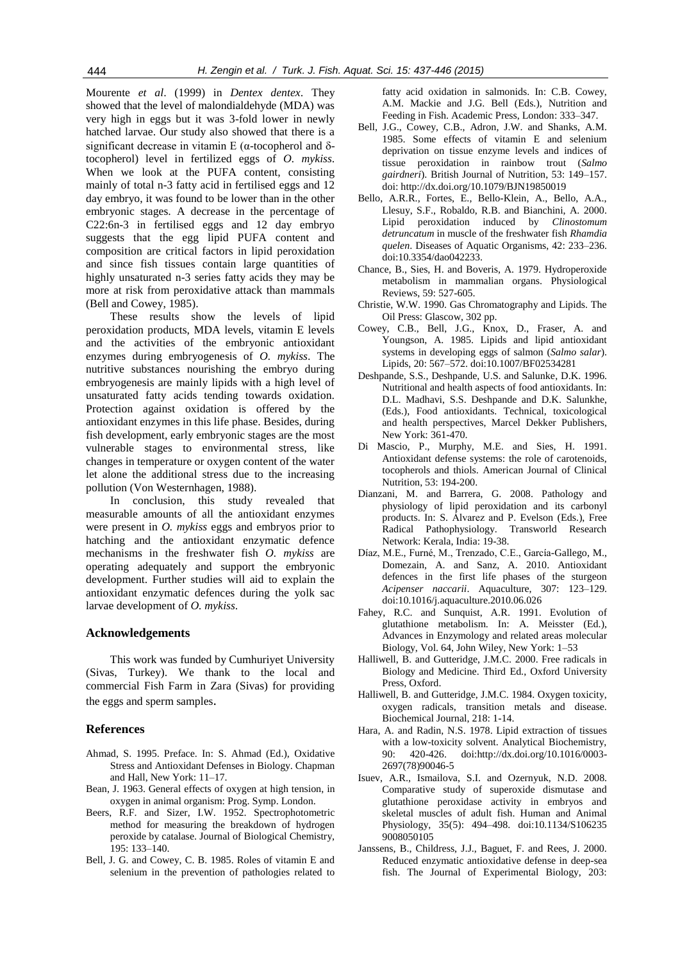Mourente *et al*. (1999) in *Dentex dentex*. They showed that the level of malondialdehyde (MDA) was very high in eggs but it was 3-fold lower in newly hatched larvae. Our study also showed that there is a significant decrease in vitamin E ( $\alpha$ -tocopherol and  $\delta$ tocopherol) level in fertilized eggs of *O. mykiss*. When we look at the PUFA content, consisting mainly of total n-3 fatty acid in fertilised eggs and 12 day embryo, it was found to be lower than in the other embryonic stages. A decrease in the percentage of C22:6n-3 in fertilised eggs and 12 day embryo suggests that the egg lipid PUFA content and composition are critical factors in lipid peroxidation and since fish tissues contain large quantities of highly unsaturated n-3 series fatty acids they may be more at risk from peroxidative attack than mammals (Bell and Cowey, 1985).

These results show the levels of lipid peroxidation products, MDA levels, vitamin E levels and the activities of the embryonic antioxidant enzymes during embryogenesis of *O. mykiss*. The nutritive substances nourishing the embryo during embryogenesis are mainly lipids with a high level of unsaturated fatty acids tending towards oxidation. Protection against oxidation is offered by the antioxidant enzymes in this life phase. Besides, during fish development, early embryonic stages are the most vulnerable stages to environmental stress, like changes in temperature or oxygen content of the water let alone the additional stress due to the increasing pollution (Von Westernhagen, 1988).

In conclusion, this study revealed that measurable amounts of all the antioxidant enzymes were present in *O. mykiss* eggs and embryos prior to hatching and the antioxidant enzymatic defence mechanisms in the freshwater fish *O. mykiss* are operating adequately and support the embryonic development. Further studies will aid to explain the antioxidant enzymatic defences during the yolk sac larvae development of *O. mykiss*.

## **Acknowledgements**

This work was funded by Cumhuriyet University (Sivas, Turkey). We thank to the local and commercial Fish Farm in Zara (Sivas) for providing the eggs and sperm samples.

## **References**

- Ahmad, S. 1995. Preface. In: S. Ahmad (Ed.), Oxidative Stress and Antioxidant Defenses in Biology. Chapman and Hall, New York: 11–17.
- Bean, J. 1963. General effects of oxygen at high tension, in oxygen in animal organism: Prog. Symp. London.
- Beers, R.F. and Sizer, I.W. 1952. Spectrophotometric method for measuring the breakdown of hydrogen peroxide by catalase. Journal of Biological Chemistry, 195: 133–140.
- Bell, J. G. and Cowey, C. B. 1985. Roles of vitamin E and selenium in the prevention of pathologies related to

fatty acid oxidation in salmonids. In: C.B. Cowey, A.M. Mackie and J.G. Bell (Eds.), Nutrition and Feeding in Fish. Academic Press, London: 333–347.

- Bell, J.G., Cowey, C.B., Adron, J.W. and Shanks, A.M. 1985. Some effects of vitamin E and selenium deprivation on tissue enzyme levels and indices of tissue peroxidation in rainbow trout (*Salmo gairdneri*). British Journal of Nutrition, 53: 149–157. doi: http://dx.doi.org/10.1079/BJN19850019
- Bello, A.R.R., Fortes, E., Bello-Klein, A., Bello, A.A., Llesuy, S.F., Robaldo, R.B. and Bianchini, A. 2000. Lipid peroxidation induced by *Clinostomum detruncatum* in muscle of the freshwater fish *Rhamdia quelen*[. Diseases of](https://www.google.com.tr/url?sa=t&rct=j&q=&esrc=s&source=web&cd=2&cad=rja&uact=8&ved=0CCIQFjAB&url=http%3A%2F%2Fwww.researchgate.net%2Fjournal%2F0177-5103_Diseases_of_Aquatic_Organisms&ei=fzTrU-DxPMKhyAOukoFA&usg=AFQjCNFN4gc0RJWM6Rk-ggf9JmDzPcz4Zw) Aquatic Organisms, 42: 233–236. doi:10.3354/dao042233.
- Chance, B., Sies, H. and Boveris, A. 1979. Hydroperoxide metabolism in mammalian organs. Physiological Reviews, 59: 527-605.
- Christie, W.W. 1990. Gas Chromatography and Lipids. The Oil Press: Glascow, 302 pp.
- Cowey, C.B., Bell, J.G., Knox, D., Fraser, A. and Youngson, A. 1985. Lipids and lipid antioxidant systems in developing eggs of salmon (*Salmo salar*). Lipids, 20: 567–572. doi:10.1007/BF02534281
- Deshpande, S.S., Deshpande, U.S. and Salunke, D.K. 1996. Nutritional and health aspects of food antioxidants. In: D.L. Madhavi, S.S. Deshpande and D.K. Salunkhe, (Eds.), Food antioxidants. Technical, toxicological and health perspectives, Marcel Dekker Publishers, New York: 361-470.
- Di Mascio, P., Murphy, M.E. and Sies, H. 1991. Antioxidant defense systems: the role of carotenoids, tocopherols and thiols. American Journal of Clinical Nutrition, 53: 194-200.
- Dianzani, M. and Barrera, G. 2008. Pathology and physiology of lipid peroxidation and its carbonyl products. In: S. Álvarez and P. Evelson (Eds.), Free Radical Pathophysiology. Transworld Research Network: Kerala, India: 19-38.
- Díaz, M.E., Furné, M., Trenzado, C.E., García-Gallego, M., Domezain, A. and Sanz, A. 2010. Antioxidant defences in the first life phases of the sturgeon *Acipenser naccarii*. Aquaculture, 307: 123–129. doi:10.1016/j.aquaculture.2010.06.026
- Fahey, R.C. and Sunquist, A.R. 1991. Evolution of glutathione metabolism. In: A. Meisster (Ed.), Advances in Enzymology and related areas molecular Biology, Vol. 64, John Wiley, New York: 1–53
- Halliwell, B. and Gutteridge, J.M.C. 2000. Free radicals in Biology and Medicine. Third Ed., Oxford University Press, Oxford.
- Halliwell, B. and Gutteridge, J.M.C. 1984. Oxygen toxicity, oxygen radicals, transition metals and disease. Biochemical Journal, 218: 1-14.
- Hara, A. and Radin, N.S. 1978. Lipid extraction of tissues with a low-toxicity solvent. Analytical Biochemistry, 90: 420-426. do[i:http://dx.doi.org/10.1016/0003-](http://dx.doi.org/http:/dx.doi.org/10.1016/0003-2697(78)90046-5) [2697\(78\)90046-5](http://dx.doi.org/http:/dx.doi.org/10.1016/0003-2697(78)90046-5)
- Isuev, A.R., Ismailova, S.I. and Ozernyuk, N.D. 2008. Comparative study of superoxide dismutase and glutathione peroxidase activity in embryos and skeletal muscles of adult fish. Human and Animal Physiology, 35(5): 494–498. doi:10.1134/S106235 9008050105
- Janssens, B., Childress, J.J., Baguet, F. and Rees, J. 2000. Reduced enzymatic antioxidative defense in deep-sea fish. The Journal of Experimental Biology, 203: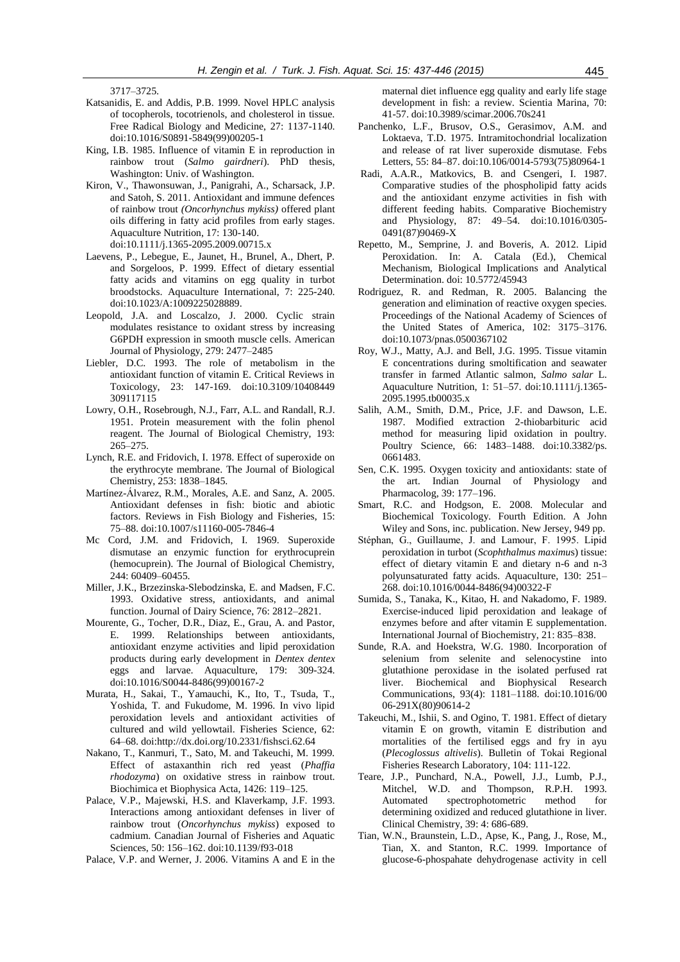3717–3725.

- Katsanidis, E. and Addis, P.B. 1999. Novel HPLC analysis of tocopherols, tocotrienols, and cholesterol in tissue. Free Radical Biology and Medicine, 27: 1137-1140. doi:10.1016/S0891-5849(99)00205-1
- King, I.B. 1985. Influence of vitamin E in reproduction in rainbow trout (*Salmo gairdneri*). PhD thesis, Washington: Univ. of Washington.
- Kiron, V., Thawonsuwan, J., Panigrahi, A., Scharsack, J.P. and Satoh, S. 2011. Antioxidant and immune defences of rainbow trout *(Oncorhynchus mykiss)* offered plant oils differing in fatty acid profiles from early stages. Aquaculture Nutrition, 17: 130-140. doi:10.1111/j.1365-2095.2009.00715.x
- Laevens, P., Lebegue, E., Jaunet, H., Brunel, A., Dhert, P. and Sorgeloos, P. 1999. Effect of dietary essential fatty acids and vitamins on egg quality in turbot broodstocks. Aquaculture International, 7: 225-240. doi:10.1023/A:1009225028889.
- Leopold, J.A. and Loscalzo, J. 2000. Cyclic strain modulates resistance to oxidant stress by increasing G6PDH expression in smooth muscle cells. American Journal of Physiology, 279: 2477–2485
- Liebler, D.C. 1993. The role of metabolism in the antioxidant function of vitamin E. Critical Reviews in Toxicology, 23: 147-169. doi:10.3109/10408449 309117115
- Lowry, O.H., Rosebrough, N.J., Farr, A.L. and Randall, R.J. 1951. Protein measurement with the folin phenol reagent. The Journal of Biological Chemistry, 193: 265–275.
- Lynch, R.E. and Fridovich, I. 1978. Effect of superoxide on the erythrocyte membrane. The Journal of Biological Chemistry, 253: 1838–1845.
- Martínez-Álvarez, R.M., Morales, A.E. and Sanz, A. 2005. Antioxidant defenses in fish: biotic and abiotic factors. [Reviews in Fish Biology](https://www.google.com.tr/url?sa=t&rct=j&q=&esrc=s&source=web&cd=1&cad=rja&uact=8&ved=0CBwQFjAA&url=http%3A%2F%2Fwww.springer.com%2Flife%2Bsciences%2Fecology%2Fjournal%2F11160&ei=7X7rU5m9H4iH4gSqgoHIBg&usg=AFQjCNGzuIgjM_MM2-2JvH5Myc6hLfPasA&bvm=bv.72938740,d.bGQ) and Fisheries, 15: 75–88. doi:10.1007/s11160-005-7846-4
- Mc Cord, J.M. and Fridovich, I. 1969. Superoxide dismutase an enzymic function for erythrocuprein (hemocuprein). The Journal of Biological Chemistry, 244: 60409–60455.
- Miller, J.K., Brzezinska-Slebodzinska, E. and Madsen, F.C. 1993. Oxidative stress, antioxidants, and animal function. Journal of Dairy Science, 76: 2812–2821.
- Mourente, G., Tocher, D.R., Diaz, E., Grau, A. and Pastor, E. 1999. Relationships between antioxidants, antioxidant enzyme activities and lipid peroxidation products during early development in *Dentex dentex* eggs and larvae. Aquaculture, 179: 309-324. doi:10.1016/S0044-8486(99)00167-2
- Murata, H., Sakai, T., Yamauchi, K., Ito, T., Tsuda, T., Yoshida, T. and Fukudome, M. 1996. In vivo lipid peroxidation levels and antioxidant activities of cultured and wild yellowtail. Fisheries Science, 62: 64–68. do[i:http://dx.doi.org/10.2331/fishsci.62.64](http://dx.doi.org/10.2331/fishsci.62.64)
- Nakano, T., Kanmuri, T., Sato, M. and Takeuchi, M. 1999. Effect of astaxanthin rich red yeast (*Phaffia rhodozyma*) on oxidative stress in rainbow trout. Biochimica et Biophysica Acta, 1426: 119–125.
- Palace, V.P., Majewski, H.S. and Klaverkamp, J.F. 1993. Interactions among antioxidant defenses in liver of rainbow trout (*Oncorhynchus mykiss*) exposed to cadmium. Canadian Journal of Fisheries and Aquatic Sciences, 50: 156–162. doi:10.1139/f93-018

Palace, V.P. and Werner, J. 2006. Vitamins A and E in the

maternal diet influence egg quality and early life stage development in fish: a review. Scientia Marina, 70: 41-57. doi:10.3989/scimar.2006.70s241

- Panchenko, L.F., Brusov, O.S., Gerasimov, A.M. and Loktaeva, T.D. 1975. Intramitochondrial localization and release of rat liver superoxide dismutase. Febs Letters, 55: 84–87. [doi:10.106/0014-5793\(75\)80964-1](http://dx.doi.org/10.1016/0014-5793(75)80964-1)
- Radi, A.A.R., Matkovics, B. and Csengeri, I. 1987. Comparative studies of the phospholipid fatty acids and the antioxidant enzyme activities in fish with different feeding habits. [Comparative Biochemistry](http://www.sciencedirect.com/science/journal/03050491)  [and Physiology,](http://www.sciencedirect.com/science/journal/03050491) 87: 49–54. doi:10.1016/0305- 0491(87)90469-X
- Repetto, M., Semprine, J. and Boveris, A. 2012. Lipid Peroxidation. In: A. Catala (Ed.), Chemical Mechanism, Biological Implications and Analytical Determination. doi: 10.5772/45943
- Rodriguez, R. and Redman, R. 2005. Balancing the generation and elimination of reactive oxygen species. Proceedings of the National Academy of Sciences of the United States of America, 102: 3175–3176. doi:10.1073/pnas.0500367102
- Roy, W.J., Matty, A.J. and Bell, J.G. 1995. Tissue vitamin E concentrations during smoltification and seawater transfer in farmed Atlantic salmon, *Salmo salar* L. Aquaculture Nutrition, 1: 51–57. doi:10.1111/j.1365- 2095.1995.tb00035.x
- Salih, A.M., Smith, D.M., Price, J.F. and Dawson, L.E. 1987. Modified extraction 2-thiobarbituric acid method for measuring lipid oxidation in poultry. Poultry Science, 66: 1483–1488. doi:10.3382/ps. 0661483.
- Sen, C.K. 1995. Oxygen toxicity and antioxidants: state of the art. Indian Journal of Physiology and Pharmacolog, 39: 177–196.
- Smart, R.C. and Hodgson, E. 2008. Molecular and Biochemical Toxicology. Fourth Edition. A John Wiley and Sons, inc. publication. New Jersey, 949 pp.
- Stéphan, G., Guillaume, J. and Lamour, F. 1995. Lipid peroxidation in turbot (*Scophthalmus maximu*s) tissue: effect of dietary vitamin E and dietary n-6 and n-3 polyunsaturated fatty acids. Aquaculture, 130: 251– 268. doi:10.1016/0044-8486(94)00322-F
- Sumida, S., Tanaka, K., Kitao, H. and Nakadomo, F. 1989. Exercise-induced lipid peroxidation and leakage of enzymes before and after vitamin E supplementation. International Journal of Biochemistry, 21: 835–838.
- Sunde, R.A. and Hoekstra, W.G. 1980. Incorporation of selenium from selenite and selenocystine into glutathione peroxidase in the isolated perfused rat liver. Biochemical and Biophysical Research Communications, 93(4): 1181–1188. [doi:10.1016/00](http://dx.doi.org/10.1016/0006-291X(80)90614-2) [06-291X\(80\)90614-2](http://dx.doi.org/10.1016/0006-291X(80)90614-2)
- Takeuchi, M., Ishii, S. and Ogino, T. 1981. Effect of dietary vitamin E on growth, vitamin E distribution and mortalities of the fertilised eggs and fry in ayu (*Plecoglossus altivelis*). Bulletin of Tokai Regional Fisheries Research Laboratory, 104: 111-122.
- Teare, J.P., Punchard, N.A., Powell, J.J., Lumb, P.J., Mitchel, W.D. and Thompson, R.P.H. 1993. Automated spectrophotometric method for determining oxidized and reduced glutathione in liver. Clinical Chemistry, 39: 4: 686-689.
- Tian, W.N., Braunstein, L.D., Apse, K., Pang, J., Rose, M., Tian, X. and Stanton, R.C. 1999. Importance of glucose-6-phospahate dehydrogenase activity in cell